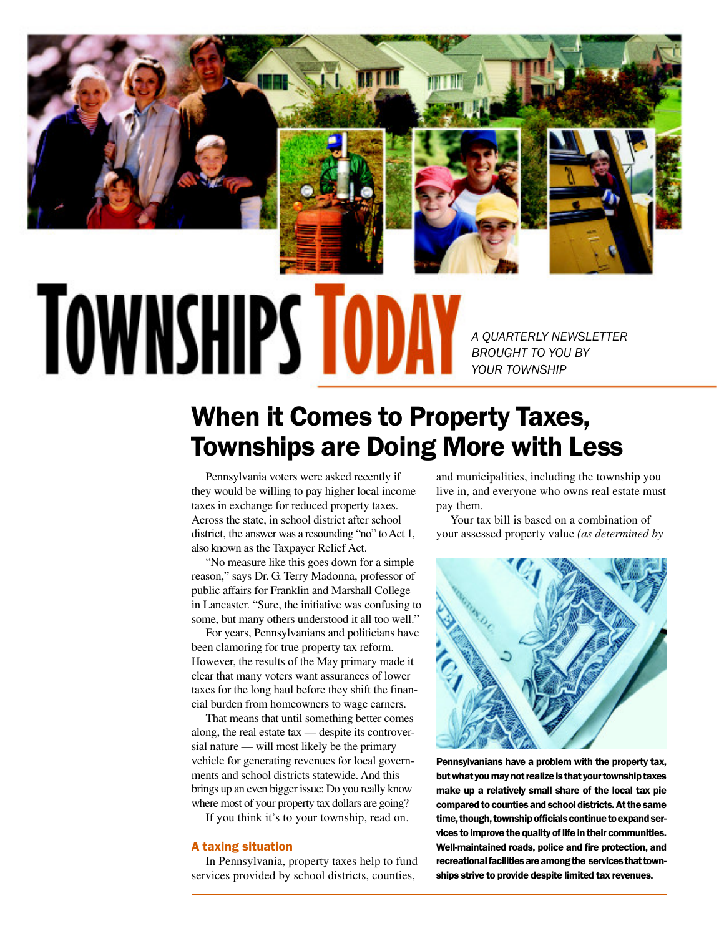

# **TOWNSHIPS TOD**

A QUARTERLY NEWSLETTER BROUGHT TO YOU BY YOUR TOWNSHIP

# When it Comes to Property Taxes, Townships are Doing More with Less

Pennsylvania voters were asked recently if they would be willing to pay higher local income taxes in exchange for reduced property taxes. Across the state, in school district after school district, the answer was a resounding "no" to Act 1, also known as the Taxpayer Relief Act.

"No measure like this goes down for a simple reason," says Dr. G. Terry Madonna, professor of public affairs for Franklin and Marshall College in Lancaster. "Sure, the initiative was confusing to some, but many others understood it all too well."

For years, Pennsylvanians and politicians have been clamoring for true property tax reform. However, the results of the May primary made it clear that many voters want assurances of lower taxes for the long haul before they shift the financial burden from homeowners to wage earners.

That means that until something better comes along, the real estate tax — despite its controversial nature — will most likely be the primary vehicle for generating revenues for local governments and school districts statewide. And this brings up an even bigger issue: Do you really know where most of your property tax dollars are going?

If you think it's to your township, read on.

### A taxing situation

In Pennsylvania, property taxes help to fund services provided by school districts, counties,

and municipalities, including the township you live in, and everyone who owns real estate must pay them.

Your tax bill is based on a combination of your assessed property value *(as determined by*



Pennsylvanians have a problem with the property tax, but what you may not realize is that your township taxes make up a relatively small share of the local tax pie compared to counties and school districts. At the same time, though, township officials continue to expand services to improve the quality of life in their communities. Well-maintained roads, police and fire protection, and recreational facilities are among the services that townships strive to provide despite limited tax revenues.